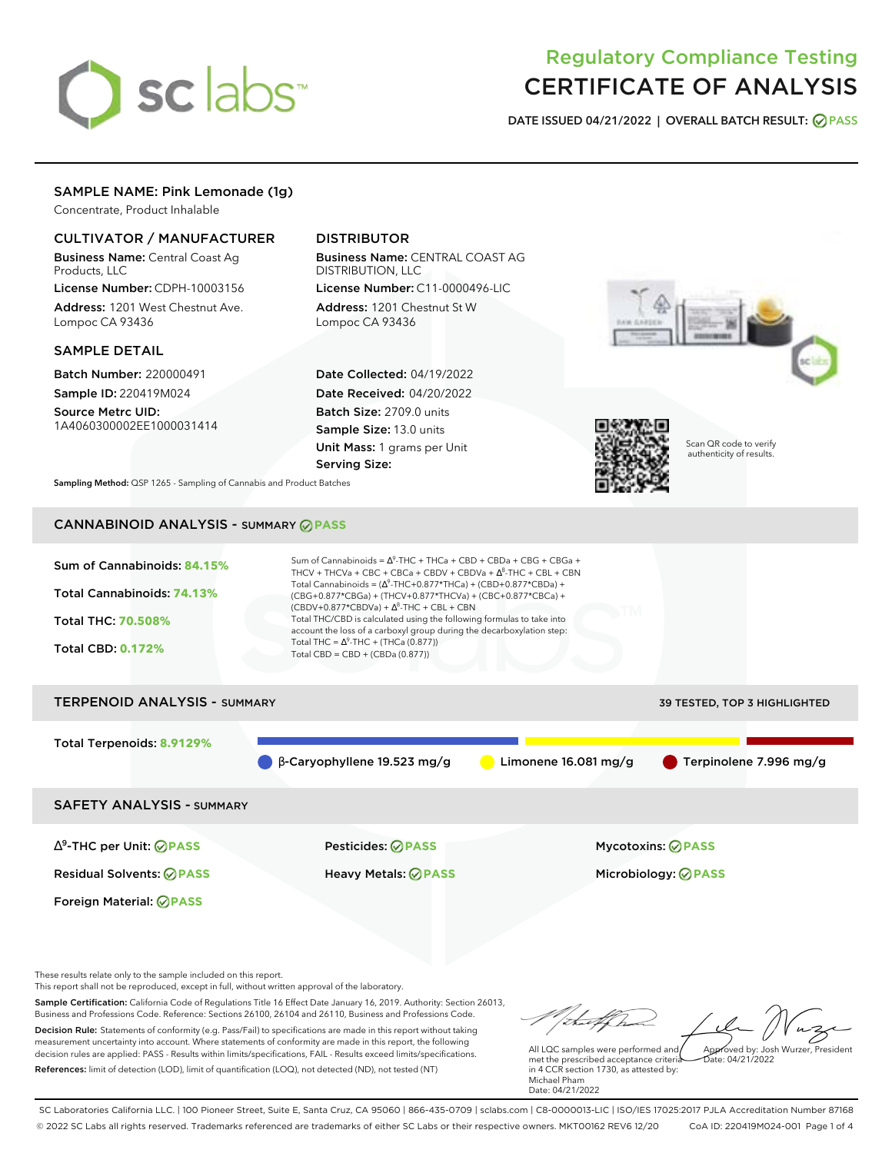

# Regulatory Compliance Testing CERTIFICATE OF ANALYSIS

**DATE ISSUED 04/21/2022 | OVERALL BATCH RESULT: PASS**

## SAMPLE NAME: Pink Lemonade (1g)

Concentrate, Product Inhalable

### CULTIVATOR / MANUFACTURER

Business Name: Central Coast Ag Products, LLC

License Number: CDPH-10003156 Address: 1201 West Chestnut Ave. Lompoc CA 93436

### SAMPLE DETAIL

Batch Number: 220000491 Sample ID: 220419M024

Source Metrc UID: 1A4060300002EE1000031414

## DISTRIBUTOR

Business Name: CENTRAL COAST AG DISTRIBUTION, LLC License Number: C11-0000496-LIC

Address: 1201 Chestnut St W Lompoc CA 93436

Date Collected: 04/19/2022 Date Received: 04/20/2022 Batch Size: 2709.0 units Sample Size: 13.0 units Unit Mass: 1 grams per Unit Serving Size:





Scan QR code to verify authenticity of results.

**Sampling Method:** QSP 1265 - Sampling of Cannabis and Product Batches

# CANNABINOID ANALYSIS - SUMMARY **PASS**

| Sum of Cannabinoids: 84.15%<br>Total Cannabinoids: 74.13%<br><b>Total THC: 70.508%</b><br><b>Total CBD: 0.172%</b> | Sum of Cannabinoids = $\Delta^9$ -THC + THCa + CBD + CBDa + CBG + CBGa +<br>THCV + THCVa + CBC + CBCa + CBDV + CBDVa + $\Delta^8$ -THC + CBL + CBN<br>Total Cannabinoids = $(\Delta^9$ -THC+0.877*THCa) + (CBD+0.877*CBDa) +<br>(CBG+0.877*CBGa) + (THCV+0.877*THCVa) + (CBC+0.877*CBCa) +<br>$(CBDV+0.877*CBDVa) + \Delta^8$ -THC + CBL + CBN<br>Total THC/CBD is calculated using the following formulas to take into<br>account the loss of a carboxyl group during the decarboxylation step:<br>Total THC = $\Delta^9$ -THC + (THCa (0.877))<br>Total CBD = $CBD + (CBDa (0.877))$ |                                     |  |
|--------------------------------------------------------------------------------------------------------------------|----------------------------------------------------------------------------------------------------------------------------------------------------------------------------------------------------------------------------------------------------------------------------------------------------------------------------------------------------------------------------------------------------------------------------------------------------------------------------------------------------------------------------------------------------------------------------------------|-------------------------------------|--|
|                                                                                                                    |                                                                                                                                                                                                                                                                                                                                                                                                                                                                                                                                                                                        |                                     |  |
| <b>TERPENOID ANALYSIS - SUMMARY</b>                                                                                |                                                                                                                                                                                                                                                                                                                                                                                                                                                                                                                                                                                        | <b>39 TESTED, TOP 3 HIGHLIGHTED</b> |  |

# Total Terpenoids: **8.9129%** β-Caryophyllene 19.523 mg/g Limonene 16.081 mg/g Terpinolene 7.996 mg/g

SAFETY ANALYSIS - SUMMARY

∆ 9 -THC per Unit: **PASS** Pesticides: **PASS** Mycotoxins: **PASS**

Foreign Material: **PASS**

Residual Solvents: **PASS** Heavy Metals: **PASS** Microbiology: **PASS**

These results relate only to the sample included on this report.

This report shall not be reproduced, except in full, without written approval of the laboratory.

Sample Certification: California Code of Regulations Title 16 Effect Date January 16, 2019. Authority: Section 26013, Business and Professions Code. Reference: Sections 26100, 26104 and 26110, Business and Professions Code. Decision Rule: Statements of conformity (e.g. Pass/Fail) to specifications are made in this report without taking measurement uncertainty into account. Where statements of conformity are made in this report, the following decision rules are applied: PASS - Results within limits/specifications, FAIL - Results exceed limits/specifications.

References: limit of detection (LOD), limit of quantification (LOQ), not detected (ND), not tested (NT)

Approved by: Josh Wurzer, President

 $ate: 04/21/2022$ 

All LQC samples were performed and met the prescribed acceptance criteria in 4 CCR section 1730, as attested by: Michael Pham Date: 04/21/2022

SC Laboratories California LLC. | 100 Pioneer Street, Suite E, Santa Cruz, CA 95060 | 866-435-0709 | sclabs.com | C8-0000013-LIC | ISO/IES 17025:2017 PJLA Accreditation Number 87168 © 2022 SC Labs all rights reserved. Trademarks referenced are trademarks of either SC Labs or their respective owners. MKT00162 REV6 12/20 CoA ID: 220419M024-001 Page 1 of 4